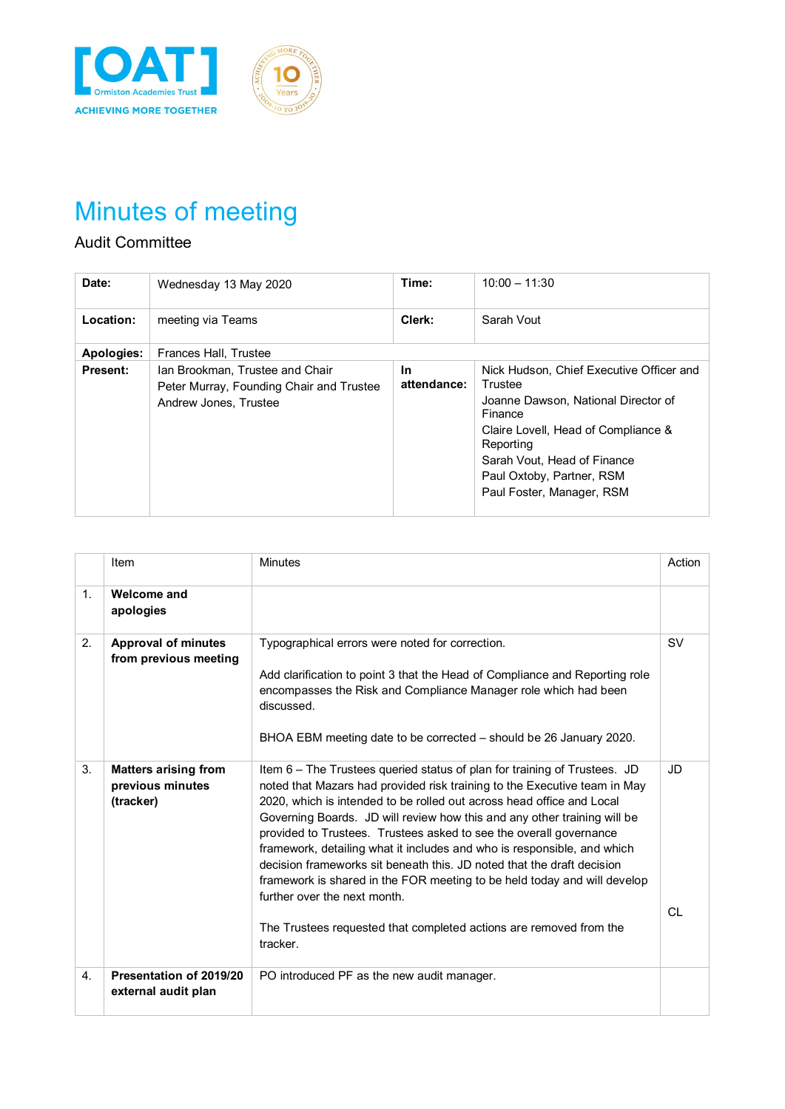



## Audit Committee

| Date:           | Wednesday 13 May 2020                                                                                | Time:                    | $10:00 - 11:30$                                                                                                                                                                                                                                    |
|-----------------|------------------------------------------------------------------------------------------------------|--------------------------|----------------------------------------------------------------------------------------------------------------------------------------------------------------------------------------------------------------------------------------------------|
| Location:       | meeting via Teams                                                                                    | Clerk:                   | Sarah Vout                                                                                                                                                                                                                                         |
| Apologies:      | Frances Hall, Trustee                                                                                |                          |                                                                                                                                                                                                                                                    |
| <b>Present:</b> | Ian Brookman, Trustee and Chair<br>Peter Murray, Founding Chair and Trustee<br>Andrew Jones, Trustee | <b>In</b><br>attendance: | Nick Hudson, Chief Executive Officer and<br>Trustee<br>Joanne Dawson, National Director of<br>Finance<br>Claire Lovell, Head of Compliance &<br>Reporting<br>Sarah Vout, Head of Finance<br>Paul Oxtoby, Partner, RSM<br>Paul Foster, Manager, RSM |

|                | Item                                                         | <b>Minutes</b>                                                                                                                                                                                                                                                                                                                                                                                                                                                                                                                                                                                                                                                                                                                       | Action     |
|----------------|--------------------------------------------------------------|--------------------------------------------------------------------------------------------------------------------------------------------------------------------------------------------------------------------------------------------------------------------------------------------------------------------------------------------------------------------------------------------------------------------------------------------------------------------------------------------------------------------------------------------------------------------------------------------------------------------------------------------------------------------------------------------------------------------------------------|------------|
| 1 <sup>1</sup> | Welcome and<br>apologies                                     |                                                                                                                                                                                                                                                                                                                                                                                                                                                                                                                                                                                                                                                                                                                                      |            |
| 2.             | <b>Approval of minutes</b><br>from previous meeting          | Typographical errors were noted for correction.<br>Add clarification to point 3 that the Head of Compliance and Reporting role<br>encompasses the Risk and Compliance Manager role which had been<br>discussed.<br>BHOA EBM meeting date to be corrected – should be 26 January 2020.                                                                                                                                                                                                                                                                                                                                                                                                                                                | <b>SV</b>  |
| 3.             | <b>Matters arising from</b><br>previous minutes<br>(tracker) | Item 6 – The Trustees queried status of plan for training of Trustees. JD<br>noted that Mazars had provided risk training to the Executive team in May<br>2020, which is intended to be rolled out across head office and Local<br>Governing Boards. JD will review how this and any other training will be<br>provided to Trustees. Trustees asked to see the overall governance<br>framework, detailing what it includes and who is responsible, and which<br>decision frameworks sit beneath this. JD noted that the draft decision<br>framework is shared in the FOR meeting to be held today and will develop<br>further over the next month.<br>The Trustees requested that completed actions are removed from the<br>tracker. | JD.<br>CL. |
|                |                                                              |                                                                                                                                                                                                                                                                                                                                                                                                                                                                                                                                                                                                                                                                                                                                      |            |
| 4.             | Presentation of 2019/20<br>external audit plan               | PO introduced PF as the new audit manager.                                                                                                                                                                                                                                                                                                                                                                                                                                                                                                                                                                                                                                                                                           |            |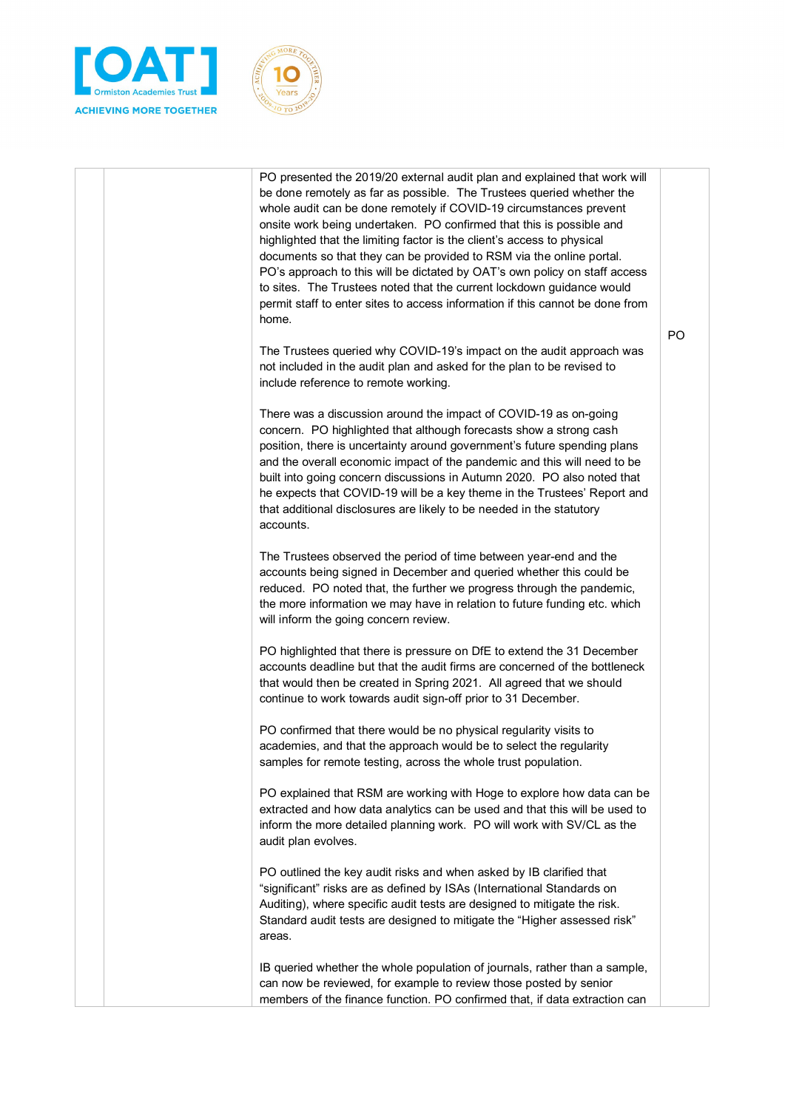



|  | PO presented the 2019/20 external audit plan and explained that work will<br>be done remotely as far as possible. The Trustees queried whether the<br>whole audit can be done remotely if COVID-19 circumstances prevent<br>onsite work being undertaken. PO confirmed that this is possible and<br>highlighted that the limiting factor is the client's access to physical<br>documents so that they can be provided to RSM via the online portal.<br>PO's approach to this will be dictated by OAT's own policy on staff access<br>to sites. The Trustees noted that the current lockdown guidance would<br>permit staff to enter sites to access information if this cannot be done from<br>home. |                |
|--|------------------------------------------------------------------------------------------------------------------------------------------------------------------------------------------------------------------------------------------------------------------------------------------------------------------------------------------------------------------------------------------------------------------------------------------------------------------------------------------------------------------------------------------------------------------------------------------------------------------------------------------------------------------------------------------------------|----------------|
|  | The Trustees queried why COVID-19's impact on the audit approach was<br>not included in the audit plan and asked for the plan to be revised to<br>include reference to remote working.                                                                                                                                                                                                                                                                                                                                                                                                                                                                                                               | P <sub>O</sub> |
|  | There was a discussion around the impact of COVID-19 as on-going<br>concern. PO highlighted that although forecasts show a strong cash<br>position, there is uncertainty around government's future spending plans<br>and the overall economic impact of the pandemic and this will need to be<br>built into going concern discussions in Autumn 2020. PO also noted that<br>he expects that COVID-19 will be a key theme in the Trustees' Report and<br>that additional disclosures are likely to be needed in the statutory<br>accounts.                                                                                                                                                           |                |
|  | The Trustees observed the period of time between year-end and the<br>accounts being signed in December and queried whether this could be<br>reduced. PO noted that, the further we progress through the pandemic,<br>the more information we may have in relation to future funding etc. which<br>will inform the going concern review.                                                                                                                                                                                                                                                                                                                                                              |                |
|  | PO highlighted that there is pressure on DfE to extend the 31 December<br>accounts deadline but that the audit firms are concerned of the bottleneck<br>that would then be created in Spring 2021. All agreed that we should<br>continue to work towards audit sign-off prior to 31 December.                                                                                                                                                                                                                                                                                                                                                                                                        |                |
|  | PO confirmed that there would be no physical regularity visits to<br>academies, and that the approach would be to select the regularity<br>samples for remote testing, across the whole trust population.                                                                                                                                                                                                                                                                                                                                                                                                                                                                                            |                |
|  | PO explained that RSM are working with Hoge to explore how data can be<br>extracted and how data analytics can be used and that this will be used to<br>inform the more detailed planning work. PO will work with SV/CL as the<br>audit plan evolves.                                                                                                                                                                                                                                                                                                                                                                                                                                                |                |
|  | PO outlined the key audit risks and when asked by IB clarified that<br>"significant" risks are as defined by ISAs (International Standards on<br>Auditing), where specific audit tests are designed to mitigate the risk.<br>Standard audit tests are designed to mitigate the "Higher assessed risk"<br>areas.                                                                                                                                                                                                                                                                                                                                                                                      |                |
|  | IB queried whether the whole population of journals, rather than a sample,<br>can now be reviewed, for example to review those posted by senior<br>members of the finance function. PO confirmed that, if data extraction can                                                                                                                                                                                                                                                                                                                                                                                                                                                                        |                |